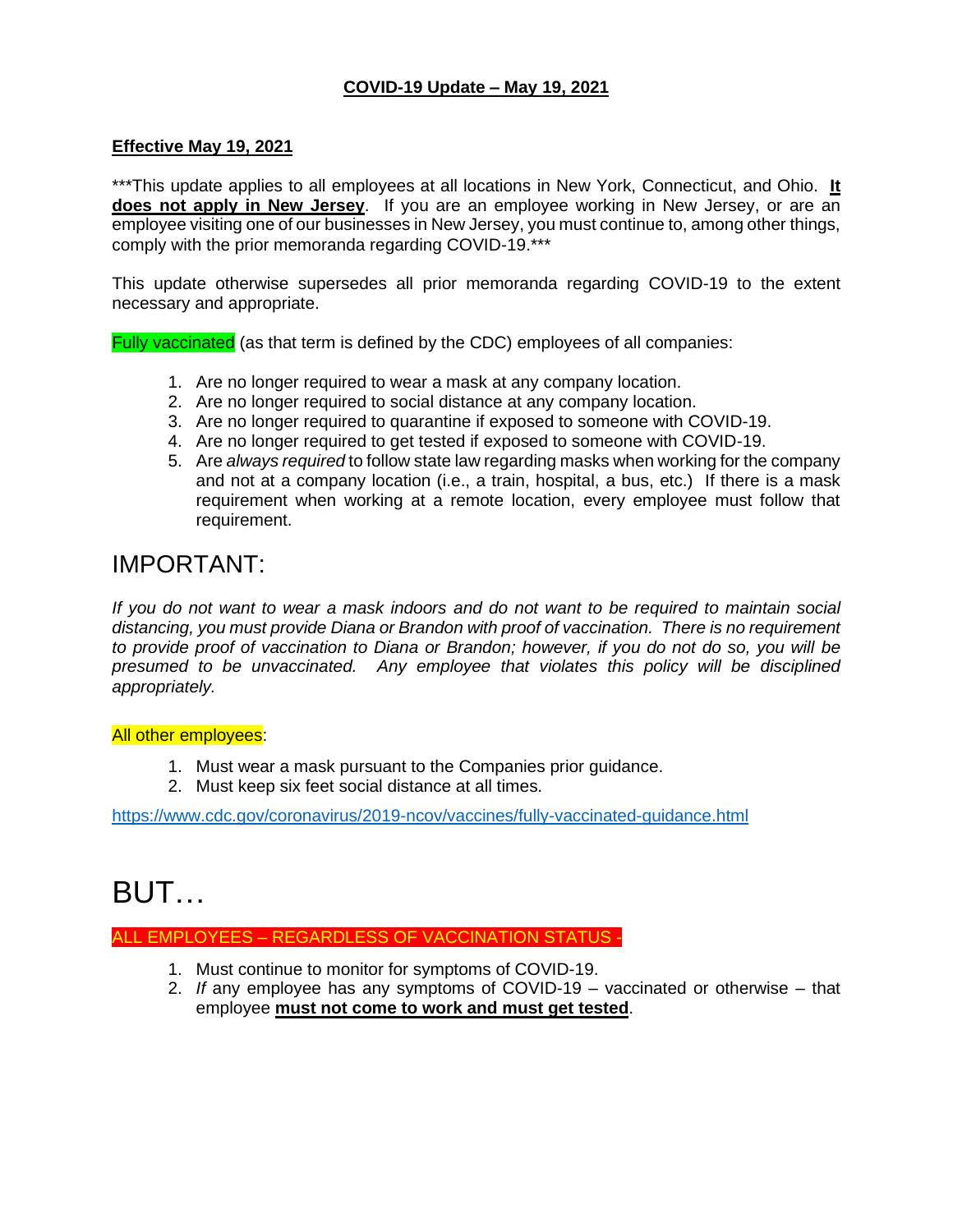# **COVID-19 Update – May 19, 2021**

#### **Effective May 19, 2021**

\*\*\*This update applies to all employees at all locations in New York, Connecticut, and Ohio. **It does not apply in New Jersey**. If you are an employee working in New Jersey, or are an employee visiting one of our businesses in New Jersey, you must continue to, among other things, comply with the prior memoranda regarding COVID-19.\*\*\*

This update otherwise supersedes all prior memoranda regarding COVID-19 to the extent necessary and appropriate.

Fully vaccinated (as that term is defined by the CDC) employees of all companies:

- 1. Are no longer required to wear a mask at any company location.
- 2. Are no longer required to social distance at any company location.
- 3. Are no longer required to quarantine if exposed to someone with COVID-19.
- 4. Are no longer required to get tested if exposed to someone with COVID-19.
- 5. Are *always required* to follow state law regarding masks when working for the company and not at a company location (i.e., a train, hospital, a bus, etc.) If there is a mask requirement when working at a remote location, every employee must follow that requirement.

# IMPORTANT:

*If you do not want to wear a mask indoors and do not want to be required to maintain social distancing, you must provide Diana or Brandon with proof of vaccination. There is no requirement to provide proof of vaccination to Diana or Brandon; however, if you do not do so, you will be presumed to be unvaccinated. Any employee that violates this policy will be disciplined appropriately.*

#### **All other employees:**

- 1. Must wear a mask pursuant to the Companies prior guidance.
- 2. Must keep six feet social distance at all times.

<https://www.cdc.gov/coronavirus/2019-ncov/vaccines/fully-vaccinated-guidance.html>

# BUT…

ALL EMPLOYEES – REGARDLESS OF VACCINATION STATUS

- 1. Must continue to monitor for symptoms of COVID-19.
- 2. *If* any employee has any symptoms of COVID-19 vaccinated or otherwise that employee **must not come to work and must get tested**.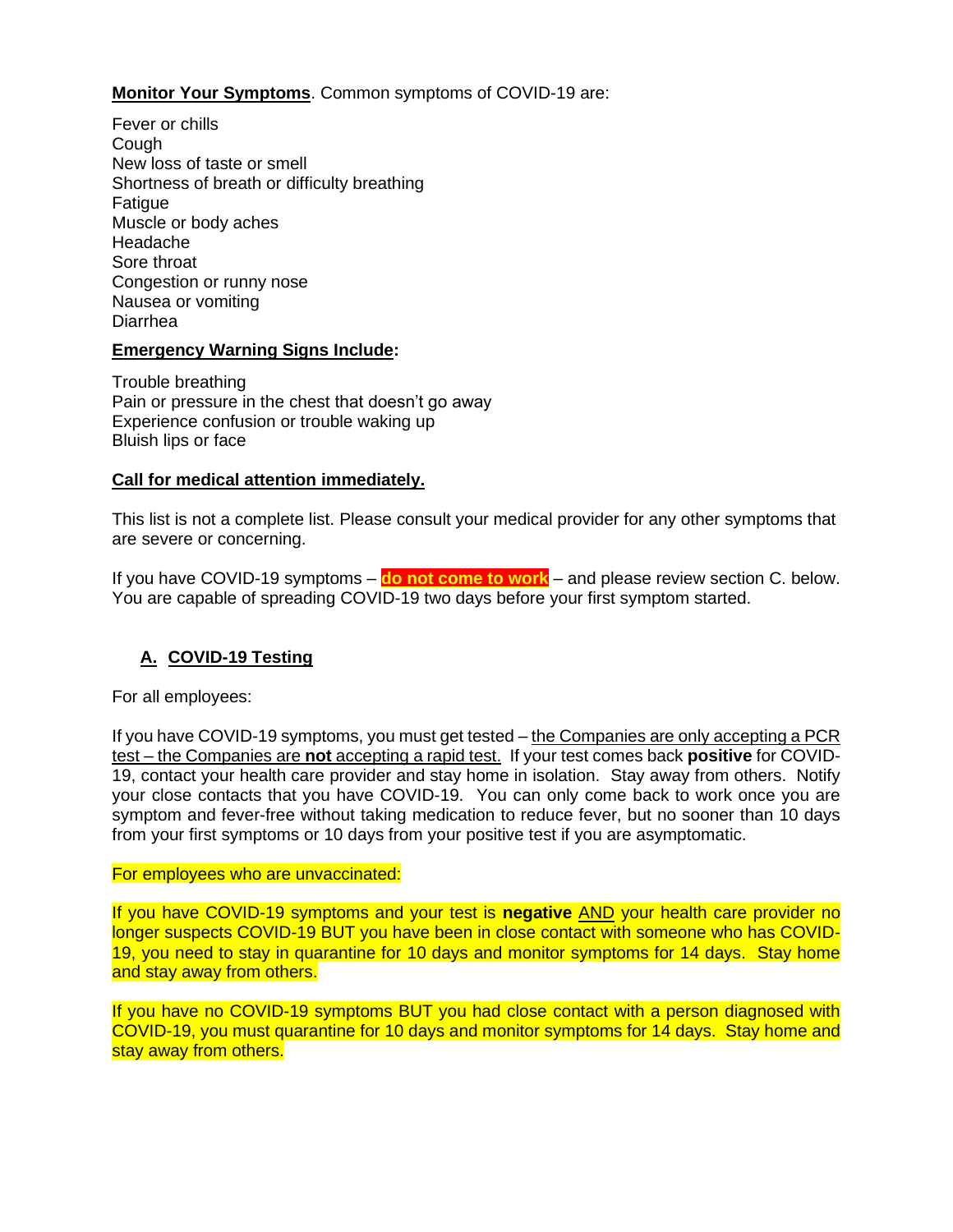# **Monitor Your Symptoms**. Common symptoms of COVID-19 are:

Fever or chills Cough New loss of taste or smell Shortness of breath or difficulty breathing Fatigue Muscle or body aches Headache Sore throat Congestion or runny nose Nausea or vomiting Diarrhea

## **Emergency Warning Signs Include:**

Trouble breathing Pain or pressure in the chest that doesn't go away Experience confusion or trouble waking up Bluish lips or face

#### **Call for medical attention immediately.**

This list is not a complete list. Please consult your medical provider for any other symptoms that are severe or concerning.

If you have COVID-19 symptoms – **do not come to work** – and please review section C. below. You are capable of spreading COVID-19 two days before your first symptom started.

## **A. COVID-19 Testing**

For all employees:

If you have COVID-19 symptoms, you must get tested – the Companies are only accepting a PCR test – the Companies are **not** accepting a rapid test. If your test comes back **positive** for COVID-19, contact your health care provider and stay home in isolation. Stay away from others. Notify your close contacts that you have COVID-19. You can only come back to work once you are symptom and fever-free without taking medication to reduce fever, but no sooner than 10 days from your first symptoms or 10 days from your positive test if you are asymptomatic.

#### For employees who are unvaccinated:

If you have COVID-19 symptoms and your test is **negative** AND your health care provider no longer suspects COVID-19 BUT you have been in close contact with someone who has COVID-19, you need to stay in quarantine for 10 days and monitor symptoms for 14 days. Stay home and stay away from others.

If you have no COVID-19 symptoms BUT you had close contact with a person diagnosed with COVID-19, you must quarantine for 10 days and monitor symptoms for 14 days. Stay home and stay away from others.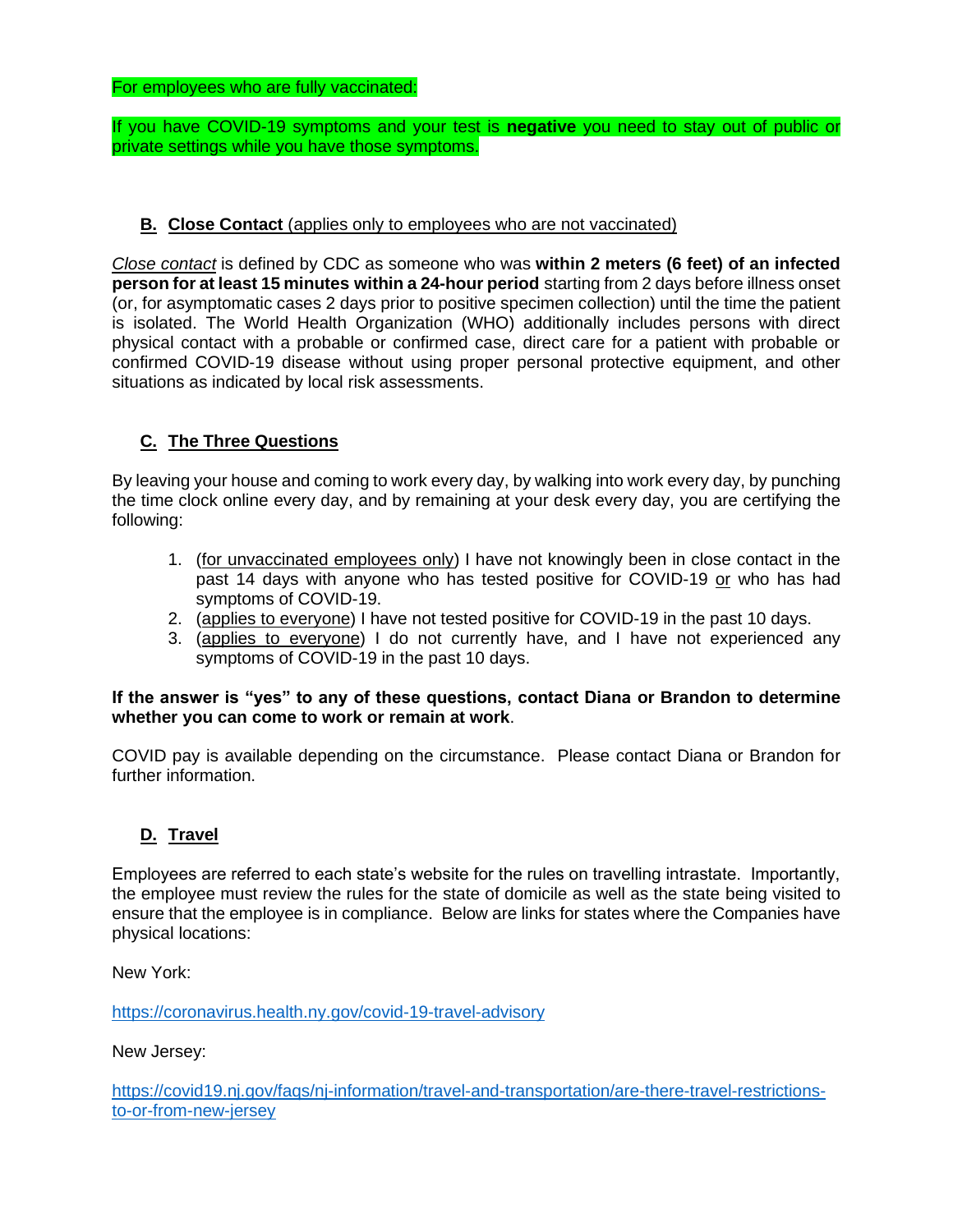If you have COVID-19 symptoms and your test is **negative** you need to stay out of public or private settings while you have those symptoms.

#### **B. Close Contact** (applies only to employees who are not vaccinated)

*[Close contact](https://www.cdc.gov/coronavirus/2019-ncov/php/contact-tracing/contact-tracing-plan/appendix.html#contact)* is defined by CDC as someone who was **within 2 meters (6 feet) of an infected person for at least 15 minutes within a 24-hour period** starting from 2 days before illness onset (or, for asymptomatic cases 2 days prior to positive specimen collection) until the time the patient is isolated. The World Health Organization (WHO) additionally includes persons with direct physical contact with a probable or confirmed case, direct care for a patient with probable or confirmed COVID-19 disease without using proper personal protective equipment, and other situations as indicated by local risk assessments.

# **C. The Three Questions**

By leaving your house and coming to work every day, by walking into work every day, by punching the time clock online every day, and by remaining at your desk every day, you are certifying the following:

- 1. (for unvaccinated employees only) I have not knowingly been in close contact in the past 14 days with anyone who has tested positive for COVID-19 or who has had symptoms of COVID-19.
- 2. (applies to everyone) I have not tested positive for COVID-19 in the past 10 days.
- 3. (applies to everyone) I do not currently have, and I have not experienced any symptoms of COVID-19 in the past 10 days.

#### **If the answer is "yes" to any of these questions, contact Diana or Brandon to determine whether you can come to work or remain at work**.

COVID pay is available depending on the circumstance. Please contact Diana or Brandon for further information.

## **D. Travel**

Employees are referred to each state's website for the rules on travelling intrastate. Importantly, the employee must review the rules for the state of domicile as well as the state being visited to ensure that the employee is in compliance. Below are links for states where the Companies have physical locations:

New York:

<https://coronavirus.health.ny.gov/covid-19-travel-advisory>

New Jersey:

[https://covid19.nj.gov/faqs/nj-information/travel-and-transportation/are-there-travel-restrictions](https://covid19.nj.gov/faqs/nj-information/travel-and-transportation/are-there-travel-restrictions-to-or-from-new-jersey)[to-or-from-new-jersey](https://covid19.nj.gov/faqs/nj-information/travel-and-transportation/are-there-travel-restrictions-to-or-from-new-jersey)